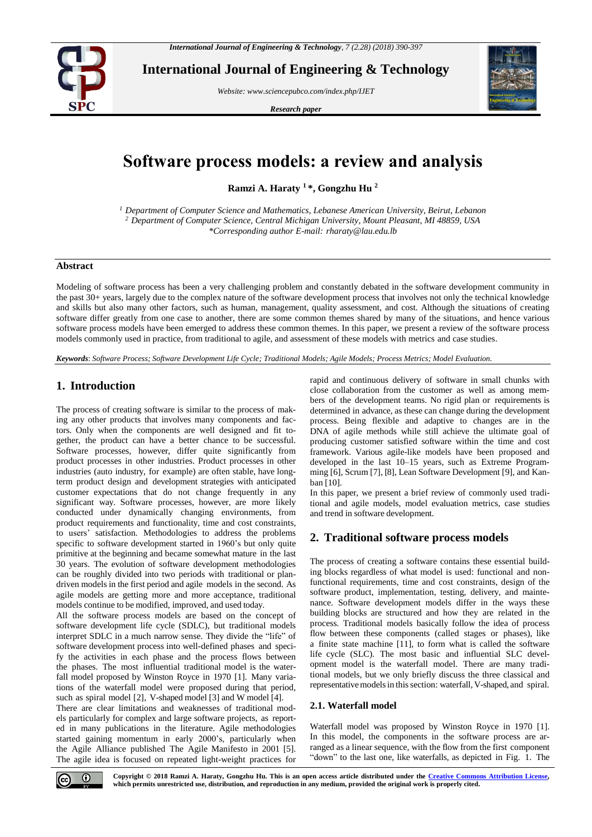

**International Journal of Engineering & Technology**

*Website: www.sciencepubco.com/index.php/IJET* 

*Research paper*



# **Software process models: a review and analysis**

**Ramzi A. Haraty <sup>1</sup> \*, Gongzhu Hu <sup>2</sup>**

*<sup>1</sup> Department of Computer Science and Mathematics, Lebanese American University, Beirut, Lebanon <sup>2</sup> Department of Computer Science, Central Michigan University, Mount Pleasant, MI 48859, USA \*Corresponding author E-mail: rharaty@lau.edu.lb*

# **Abstract**

Modeling of software process has been a very challenging problem and constantly debated in the software development community in the past 30+ years, largely due to the complex nature of the software development process that involves not only the technical knowledge and skills but also many other factors, such as human, management, quality assessment, and cost. Although the situations of creating software differ greatly from one case to another, there are some common themes shared by many of the situations, and hence various software process models have been emerged to address these common themes. In this paper, we present a review of the software process models commonly used in practice, from traditional to agile, and assessment of these models with metrics and case studies.

*Keywords*: *Software Process; Software Development Life Cycle; Traditional Models; Agile Models; Process Metrics; Model Evaluation.*

# **1. Introduction**

The process of creating software is similar to the process of making any other products that involves many components and factors. Only when the components are well designed and fit together, the product can have a better chance to be successful. Software processes, however, differ quite significantly from product processes in other industries. Product processes in other industries (auto industry, for example) are often stable, have longterm product design and development strategies with anticipated customer expectations that do not change frequently in any significant way. Software processes, however, are more likely conducted under dynamically changing environments, from product requirements and functionality, time and cost constraints, to users' satisfaction. Methodologies to address the problems specific to software development started in 1960's but only quite primitive at the beginning and became somewhat mature in the last 30 years. The evolution of software development methodologies can be roughly divided into two periods with traditional or plandriven models in the first period and agile models in the second. As agile models are getting more and more acceptance, traditional models continue to be modified, improved, and used today.

All the software process models are based on the concept of software development life cycle (SDLC), but traditional models interpret SDLC in a much narrow sense. They divide the "life" of software development process into well-defined phases and specify the activities in each phase and the process flows between the phases. The most influential traditional model is the waterfall model proposed by Winston Royce in 1970 [1]. Many variations of the waterfall model were proposed during that period, such as spiral model [\[2\]](#page-7-0), V-shaped model [\[3\]](#page-7-1) and W model [\[4\]](#page-7-2).

There are clear limitations and weaknesses of traditional models particularly for complex and large software projects, as reported in many publications in the literature. Agile methodologies started gaining momentum in early 2000's, particularly when the Agile Alliance published The Agile Manifesto in 2001 [\[5\]](#page-7-3). The agile idea is focused on repeated light-weight practices for rapid and continuous delivery of software in small chunks with close collaboration from the customer as well as among members of the development teams. No rigid plan or requirements is determined in advance, as these can change during the development process. Being flexible and adaptive to changes are in the DNA of agile methods while still achieve the ultimate goal of producing customer satisfied software within the time and cost framework. Various agile-like models have been proposed and developed in the last 10–15 years, such as Extreme Programming [\[6\]](#page-7-4), Scrum [\[7\]](#page-7-5), [\[8\]](#page-7-6), Lean Software Development [9], and Kanban [\[10\]](#page-7-7).

In this paper, we present a brief review of commonly used traditional and agile models, model evaluation metrics, case studies and trend in software development.

## **2. Traditional software process models**

The process of creating a software contains these essential building blocks regardless of what model is used: functional and nonfunctional requirements, time and cost constraints, design of the software product, implementation, testing, delivery, and maintenance. Software development models differ in the ways these building blocks are structured and how they are related in the process. Traditional models basically follow the idea of process flow between these components (called stages or phases), like a finite state machine [\[11\]](#page-7-8), to form what is called the software life cycle (SLC). The most basic and influential SLC development model is the waterfall model. There are many traditional models, but we only briefly discuss the three classical and representative models in this section: waterfall, V-shaped, and spiral.

## **2.1. Waterfall model**

Waterfall model was proposed by Winston Royce in 1970 [1]. In this model, the components in the software process are arranged as a linear sequence, with the flow from the first component "down" to the last one, like waterfalls, as depicted in Fig. [1.](#page-1-0) The



**Copyright © 2018 Ramzi A. Haraty, Gongzhu Hu. This is an open access article distributed under the [Creative Commons Attribution License,](http://creativecommons.org/licenses/by/3.0/)  which permits unrestricted use, distribution, and reproduction in any medium, provided the original work is properly cited.**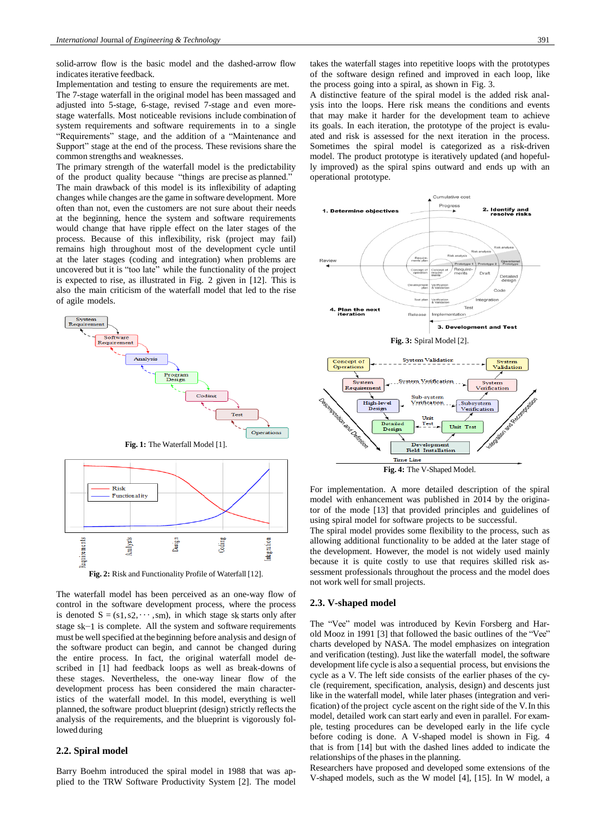solid-arrow flow is the basic model and the dashed-arrow flow indicates iterative feedback.

Implementation and testing to ensure the requirements are met. The 7-stage waterfall in the original model has been massaged and adjusted into 5-stage, 6-stage, revised 7-stage and even morestage waterfalls. Most noticeable revisions include combination of system requirements and software requirements in to a single "Requirements" stage, and the addition of a "Maintenance and Support" stage at the end of the process. These revisions share the common strengths and weaknesses.

The primary strength of the waterfall model is the predictability of the product quality because "things are precise as planned." The main drawback of this model is its inflexibility of adapting changes while changes are the game in software development. More often than not, even the customers are not sure about their needs at the beginning, hence the system and software requirements would change that have ripple effect on the later stages of the process. Because of this inflexibility, risk (project may fail) remains high throughout most of the development cycle until at the later stages (coding and integration) when problems are uncovered but it is "too late" while the functionality of the project is expected to rise, as illustrated in Fig. 2 given in [\[12\]](#page-7-9). This is also the main criticism of the waterfall model that led to the rise of agile models.

<span id="page-1-0"></span>



The waterfall model has been perceived as an one-way flow of control in the software development process, where the process is denoted  $S = (s_1, s_2, \dots, s_m)$ , in which stage sk starts only after stage sk−1 is complete. All the system and software requirements must be well specified at the beginning before analysis and design of the software product can begin, and cannot be changed during the entire process. In fact, the original waterfall model described in [1] had feedback loops as well as break-downs of these stages. Nevertheless, the one-way linear flow of the development process has been considered the main characteristics of the waterfall model. In this model, everything is well planned, the software product blueprint (design) strictly reflects the analysis of the requirements, and the blueprint is vigorously followed during

# **2.2. Spiral model**

Barry Boehm introduced the spiral model in 1988 that was applied to the TRW Software Productivity System [\[2\]](#page-7-0). The model takes the waterfall stages into repetitive loops with the prototypes of the software design refined and improved in each loop, like the process going into a spiral, as shown in Fig. 3.

A distinctive feature of the spiral model is the added risk analysis into the loops. Here risk means the conditions and events that may make it harder for the development team to achieve its goals. In each iteration, the prototype of the project is evaluated and risk is assessed for the next iteration in the process. Sometimes the spiral model is categorized as a risk-driven model. The product prototype is iteratively updated (and hopefully improved) as the spiral spins outward and ends up with an operational prototype.



For implementation. A more detailed description of the spiral model with enhancement was published in 2014 by the originator of the mode [\[13\]](#page-7-10) that provided principles and guidelines of

**Fig. 4:** The V-Shaped Model.

**Time Line** 

using spiral model for software projects to be successful. The spiral model provides some flexibility to the process, such as allowing additional functionality to be added at the later stage of the development. However, the model is not widely used mainly because it is quite costly to use that requires skilled risk assessment professionals throughout the process and the model does not work well for small projects.

## **2.3. V-shaped model**

The "Vee" model was introduced by Kevin Forsberg and Harold Mooz in 1991 [\[3\]](#page-7-1) that followed the basic outlines of the "Vee" charts developed by NASA. The model emphasizes on integration and verification (testing). Just like the waterfall model, the software development life cycle is also a sequential process, but envisions the cycle as a V. The left side consists of the earlier phases of the cycle (requirement, specification, analysis, design) and descents just like in the waterfall model, while later phases (integration and verification) of the project cycle ascent on the right side of the V.In this model, detailed work can start early and even in parallel. For example, testing procedures can be developed early in the life cycle before coding is done. A V-shaped model is shown in Fig. 4 that is from [\[14\]](#page-7-11) but with the dashed lines added to indicate the relationships of the phases in the planning.

Researchers have proposed and developed some extensions of the V-shaped models, such as the W model [\[4\]](#page-7-2), [15]. In W model, a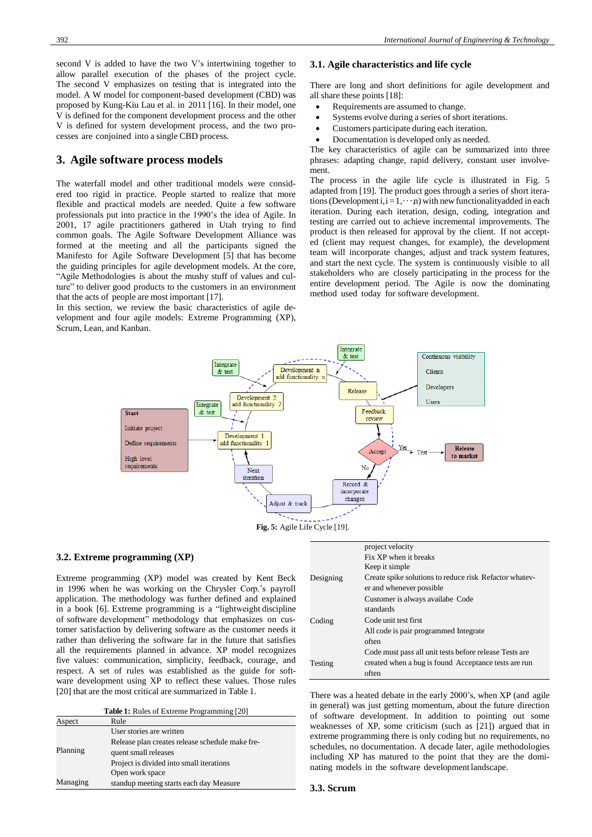second V is added to have the two V's intertwining together to allow parallel execution of the phases of the project cycle. The second V emphasizes on testing that is integrated into the model. A W model for component-based development (CBD) was proposed by Kung-Kiu Lau et al. in 2011 [\[16\]](#page-7-12). In their model, one V is defined for the component development process and the other V is defined for system development process, and the two processes are conjoined into a single CBD process.

# **3. Agile software process models**

The waterfall model and other traditional models were considered too rigid in practice. People started to realize that more flexible and practical models are needed. Quite a few software professionals put into practice in the 1990's the idea of Agile. In 2001, 17 agile practitioners gathered in Utah trying to find common goals. The Agile Software Development Alliance was formed at the meeting and all the participants signed the Manifesto for Agile Software Development [\[5\]](#page-7-3) that has become the guiding principles for agile development models. At the core, "Agile Methodologies is about the mushy stuff of values and culture" to deliver good products to the customers in an environment that the acts of people are most important [\[17\]](#page-7-13).

In this section, we review the basic characteristics of agile development and four agile models: Extreme Programming (XP), Scrum, Lean, and Kanban.

## **3.1. Agile characteristics and life cycle**

There are long and short definitions for agile development and all share these points [18]:

- Requirements are assumed to change.
- Systems evolve during a series of short iterations.
- Customers participate during each iteration.
- Documentation is developed only as needed.

The key characteristics of agile can be summarized into three phrases: adapting change, rapid delivery, constant user involvement.

The process in the agile life cycle is illustrated in Fig. 5 adapted from [\[19\]](#page-7-14). The product goes through a series of short iterations (Development i,  $i = 1, \dots, n$ ) with new functionality added in each iteration. During each iteration, design, coding, integration and testing are carried out to achieve incremental improvements. The product is then released for approval by the client. If not accepted (client may request changes, for example), the development team will incorporate changes, adjust and track system features, and start the next cycle. The system is continuously visible to all stakeholders who are closely participating in the process for the entire development period. The Agile is now the dominating method used today for software development.



#### **3.2. Extreme programming (XP)**

Extreme programming (XP) model was created by Kent Beck in 1996 when he was working on the Chrysler Corp.'s payroll application. The methodology was further defined and explained in a book [\[6\]](#page-7-4). Extreme programming is a "lightweight discipline of software development" methodology that emphasizes on customer satisfaction by delivering software as the customer needs it rather than delivering the software far in the future that satisfies all the requirements planned in advance. XP model recognizes five values: communication, simplicity, feedback, courage, and respect. A set of rules was established as the guide for software development using XP to reflect these values. Those rules [20] that are the most critical are summarized in Tabl[e 1.](#page-2-0)

| <b>Table 1:</b> Rules of Extreme Programming [20] |  |  |
|---------------------------------------------------|--|--|
|---------------------------------------------------|--|--|

<span id="page-2-0"></span>

| Aspect   | Rule                                            |
|----------|-------------------------------------------------|
|          | User stories are written                        |
|          | Release plan creates release schedule make fre- |
| Planning | quent small releases                            |
|          | Project is divided into small iterations        |
|          | Open work space                                 |
| Managing | standup meeting starts each day Measure         |

|           | project velocity                                       |
|-----------|--------------------------------------------------------|
|           | Fix XP when it breaks                                  |
|           | Keep it simple                                         |
| Designing | Create spike solutions to reduce risk Refactor whatev- |
|           | er and whenever possible                               |
|           | Customer is always availabe Code                       |
|           | standards                                              |
| Coding    | Code unit test first                                   |
|           | All code is pair programmed Integrate                  |
|           | often                                                  |
|           | Code must pass all unit tests before release Tests are |
| Testing   | created when a bug is found Acceptance tests are run   |
|           | often                                                  |

There was a heated debate in the early 2000's, when XP (and agile in general) was just getting momentum, about the future direction of software development. In addition to pointing out some weaknesses of XP, some criticism (such as [21]) argued that in extreme programming there is only coding but no requirements, no schedules, no documentation. A decade later, agile methodologies including XP has matured to the point that they are the dominating models in the software development landscape.

#### **3.3. Scrum**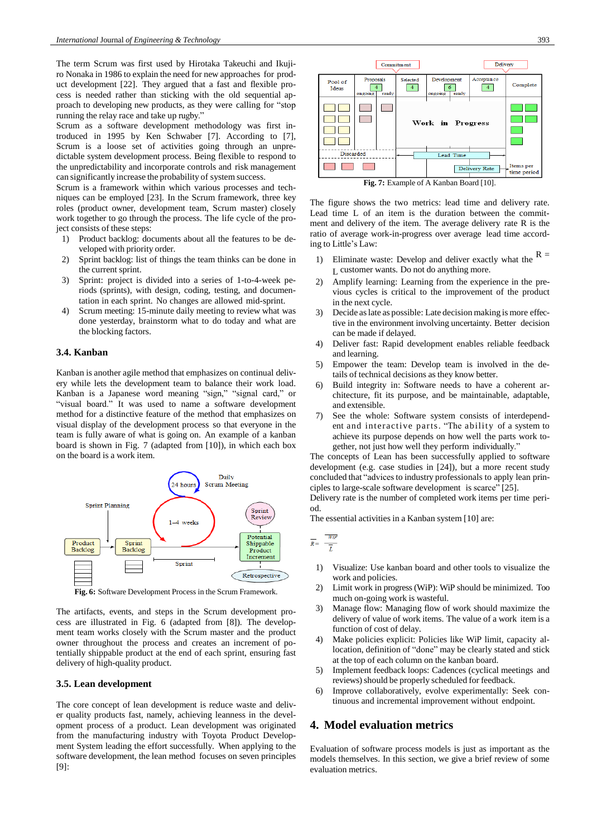The term Scrum was first used by Hirotaka Takeuchi and Ikujiro Nonaka in 1986 to explain the need for new approaches for product development [\[22\]](#page-7-15). They argued that a fast and flexible process is needed rather than sticking with the old sequential approach to developing new products, as they were calling for "stop running the relay race and take up rugby."

Scrum as a software development methodology was first introduced in 1995 by Ken Schwaber [\[7\]](#page-7-5). According to [\[7\]](#page-7-5), Scrum is a loose set of activities going through an unpredictable system development process. Being flexible to respond to the unpredictability and incorporate controls and risk management can significantly increase the probability of system success.

Scrum is a framework within which various processes and techniques can be employed [\[23\]](#page-7-16). In the Scrum framework, three key roles (product owner, development team, Scrum master) closely work together to go through the process. The life cycle of the project consists of these steps:

- 1) Product backlog: documents about all the features to be developed with priority order.
- 2) Sprint backlog: list of things the team thinks can be done in the current sprint.
- 3) Sprint: project is divided into a series of 1-to-4-week periods (sprints), with design, coding, testing, and documentation in each sprint. No changes are allowed mid-sprint.
- 4) Scrum meeting: 15-minute daily meeting to review what was done yesterday, brainstorm what to do today and what are the blocking factors.

## **3.4. Kanban**

Kanban is another agile method that emphasizes on continual delivery while lets the development team to balance their work load. Kanban is a Japanese word meaning "sign," "signal card," or "visual board." It was used to name a software development method for a distinctive feature of the method that emphasizes on visual display of the development process so that everyone in the team is fully aware of what is going on. An example of a kanban board is shown in Fig. [7](#page-3-0) (adapted from [\[10\]](#page-7-7)), in which each box on the board is a work item.



**Fig. 6:** Software Development Process in the Scrum Framework.

The artifacts, events, and steps in the Scrum development process are illustrated in Fig. [6](#page-3-1) (adapted from [\[8\]](#page-7-6)). The development team works closely with the Scrum master and the product owner throughout the process and creates an increment of potentially shippable product at the end of each sprint, ensuring fast delivery of high-quality product.

## **3.5. Lean development**

The core concept of lean development is reduce waste and deliver quality products fast, namely, achieving leanness in the development process of a product. Lean development was originated from the manufacturing industry with Toyota Product Development System leading the effort successfully. When applying to the software development, the lean method focuses on seven principles [9]:



<span id="page-3-0"></span>The figure shows the two metrics: lead time and delivery rate. Lead time L of an item is the duration between the commitment and delivery of the item. The average delivery rate R is the ratio of average work-in-progress over average lead time according to Little's Law:

- Eliminate waste: Develop and deliver exactly what the  $R =$ L customer wants. Do not do anything more.
- 2) Amplify learning: Learning from the experience in the previous cycles is critical to the improvement of the product in the next cycle.
- 3) Decide as late as possible: Late decision making is more effective in the environment involving uncertainty. Better decision can be made if delayed.
- 4) Deliver fast: Rapid development enables reliable feedback and learning.
- <span id="page-3-1"></span>5) Empower the team: Develop team is involved in the details of technical decisions as they know better.
- 6) Build integrity in: Software needs to have a coherent architecture, fit its purpose, and be maintainable, adaptable, and extensible.
- 7) See the whole: Software system consists of interdependent and interactive parts. "The ability of a system to achieve its purpose depends on how well the parts work together, not just how well they perform individually."

The concepts of Lean has been successfully applied to software development (e.g. case studies in [24]), but a more recent study concluded that "advices to industry professionals to apply lean principles to large-scale software development is scarce" [\[25\]](#page-7-17).

Delivery rate is the number of completed work items per time period.

The essential activities in a Kanban system [\[10\]](#page-7-7) are:

- $\overline{R} = \frac{\overline{WIP}}{\overline{L}}$ 
	- 1) Visualize: Use kanban board and other tools to visualize the work and policies.
	- 2) Limit work in progress(WiP): WiP should be minimized. Too much on-going work is wasteful.
	- 3) Manage flow: Managing flow of work should maximize the delivery of value of work items. The value of a work item is a function of cost of delay.
	- 4) Make policies explicit: Policies like WiP limit, capacity allocation, definition of "done" may be clearly stated and stick at the top of each column on the kanban board.
	- 5) Implement feedback loops: Cadences (cyclical meetings and reviews) should be properly scheduled for feedback.
	- 6) Improve collaboratively, evolve experimentally: Seek continuous and incremental improvement without endpoint.

# **4. Model evaluation metrics**

Evaluation of software process models is just as important as the models themselves. In this section, we give a brief review of some evaluation metrics.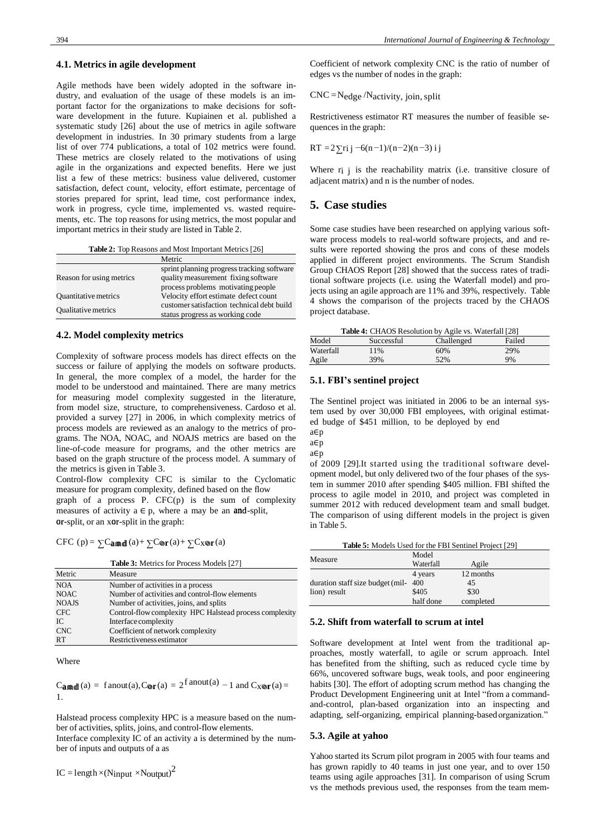#### **4.1. Metrics in agile development**

Agile methods have been widely adopted in the software industry, and evaluation of the usage of these models is an important factor for the organizations to make decisions for software development in the future. Kupiainen et al. published a systematic study [\[26\]](#page-7-18) about the use of metrics in agile software development in industries. In 30 primary students from a large list of over 774 publications, a total of 102 metrics were found. These metrics are closely related to the motivations of using agile in the organizations and expected benefits. Here we just list a few of these metrics: business value delivered, customer satisfaction, defect count, velocity, effort estimate, percentage of stories prepared for sprint, lead time, cost performance index, work in progress, cycle time, implemented vs. wasted requirements, etc. The top reasons for using metrics, the most popular and important metrics in their study are listed in Table [2.](#page-4-0)

| Table 2: Top Reasons and Most Important Metrics [26] |  |
|------------------------------------------------------|--|
|------------------------------------------------------|--|

<span id="page-4-0"></span>

|                             | Metric                                     |
|-----------------------------|--------------------------------------------|
|                             | sprint planning progress tracking software |
| Reason for using metrics    | quality measurement fixing software        |
|                             | process problems motivating people         |
| <b>Quantitative metrics</b> | Velocity effort estimate defect count      |
| <b>Qualitative metrics</b>  | customer satisfaction technical debt build |
|                             | status progress as working code            |

## **4.2. Model complexity metrics**

Complexity of software process models has direct effects on the success or failure of applying the models on software products. In general, the more complex of a model, the harder for the model to be understood and maintained. There are many metrics for measuring model complexity suggested in the literature, from model size, structure, to comprehensiveness. Cardoso et al. provided a survey [\[27\]](#page-7-19) in 2006, in which complexity metrics of process models are reviewed as an analogy to the metrics of programs. The NOA, NOAC, and NOAJS metrics are based on the line-of-code measure for programs, and the other metrics are based on the graph structure of the process model. A summary of the metrics is given in Table [3.](#page-4-1)

Control-flow complexity CFC is similar to the Cyclomatic measure for program complexity, defined based on the flow graph of a process P. CFC(p) is the sum of complexity measures of activity  $a \in p$ , where a may be an **and**-split, or-split, or an xor-split in the graph:

CFC (p) =  $\sum$ Camd(a) +  $\sum$ Cor(a) +  $\sum$ Cxor(a)

| <b>Table 3:</b> Metrics for Process Models [27] |  |
|-------------------------------------------------|--|
|-------------------------------------------------|--|

<span id="page-4-1"></span>

| Metric       | Measure                                                 |
|--------------|---------------------------------------------------------|
| <b>NOA</b>   | Number of activities in a process                       |
| <b>NOAC</b>  | Number of activities and control-flow elements          |
| <b>NOAJS</b> | Number of activities, joins, and splits                 |
| <b>CFC</b>   | Control-flow complexity HPC Halstead process complexity |
| IC           | Interface complexity                                    |
| <b>CNC</b>   | Coefficient of network complexity                       |
| <b>RT</b>    | Restrictiveness estimator                               |
|              |                                                         |

Where

 $\text{C}_{\text{a} \text{m} \text{d} \text{d}}(a) = \text{ fanout}(a), \text{C}_{\text{Q} \text{r}}(a) = 2^{\text{fanout}(a)} - 1$  and  $\text{C}_{X \text{Q} \text{r}}(a) =$ 1.

Halstead process complexity HPC is a measure based on the number of activities, splits, joins, and control-flow elements.

Interface complexity IC of an activity a is determined by the number of inputs and outputs of a as

 $IC = length \times (Ninput \times Noutput)^2$ 

Coefficient of network complexity CNC is the ratio of number of edges vs the number of nodes in the graph:

 $CNC = N_{edge}/N_{activity, 10}$  in, split

Restrictiveness estimator RT measures the number of feasible sequences in the graph:

$$
RT = 2 \sum r i j \ -6(n-1)/(n-2)(n-3) \ i j
$$

Where r<sub>i</sub> i is the reachability matrix (i.e. transitive closure of adjacent matrix) and n is the number of nodes.

## **5. Case studies**

Some case studies have been researched on applying various software process models to real-world software projects, and and results were reported showing the pros and cons of these models applied in different project environments. The Scrum Standish Group CHAOS Report [\[28\]](#page-7-20) showed that the success rates of traditional software projects (i.e. using the Waterfall model) and projects using an agile approach are 11% and 39%, respectively. Table [4](#page-4-2) shows the comparison of the projects traced by the CHAOS project database.

<span id="page-4-2"></span>

| <b>Table 4:</b> CHAOS Resolution by Agile vs. Waterfall [28] |            |            |        |
|--------------------------------------------------------------|------------|------------|--------|
| Model                                                        | Successful | Challenged | Failed |
| Waterfall                                                    | 11%        | 60%        | 29%    |
| Agile                                                        | 39%        | 52%        | 9%     |

#### **5.1. FBI's sentinel project**

The Sentinel project was initiated in 2006 to be an internal system used by over 30,000 FBI employees, with original estimated budge of \$451 million, to be deployed by end

a∈p a∈p

a∈p

of 2009 [29].It started using the traditional software development model, but only delivered two of the four phases of the system in summer 2010 after spending \$405 million. FBI shifted the process to agile model in 2010, and project was completed in summer 2012 with reduced development team and small budget. The comparison of using different models in the project is given in Table [5.](#page-4-3)

<span id="page-4-3"></span>

| Table 5: Models Used for the FBI Sentinel Project [29] |           |           |  |
|--------------------------------------------------------|-----------|-----------|--|
|                                                        | Model     |           |  |
| Measure                                                | Waterfall | Agile     |  |
|                                                        | 4 years   | 12 months |  |
| duration staff size budget (mil-                       | 400       | 45        |  |
| lion) result                                           | \$405     | \$30      |  |
|                                                        | half done | completed |  |

#### **5.2. Shift from waterfall to scrum at intel**

Software development at Intel went from the traditional approaches, mostly waterfall, to agile or scrum approach. Intel has benefited from the shifting, such as reduced cycle time by 66%, uncovered software bugs, weak tools, and poor engineering habits [30]. The effort of adopting scrum method has changing the Product Development Engineering unit at Intel "from a commandand-control, plan-based organization into an inspecting and adapting, self-organizing, empirical planning-basedorganization."

#### **5.3. Agile at yahoo**

Yahoo started its Scrum pilot program in 2005 with four teams and has grown rapidly to 40 teams in just one year, and to over 150 teams using agile approaches [31]. In comparison of using Scrum vs the methods previous used, the responses from the team mem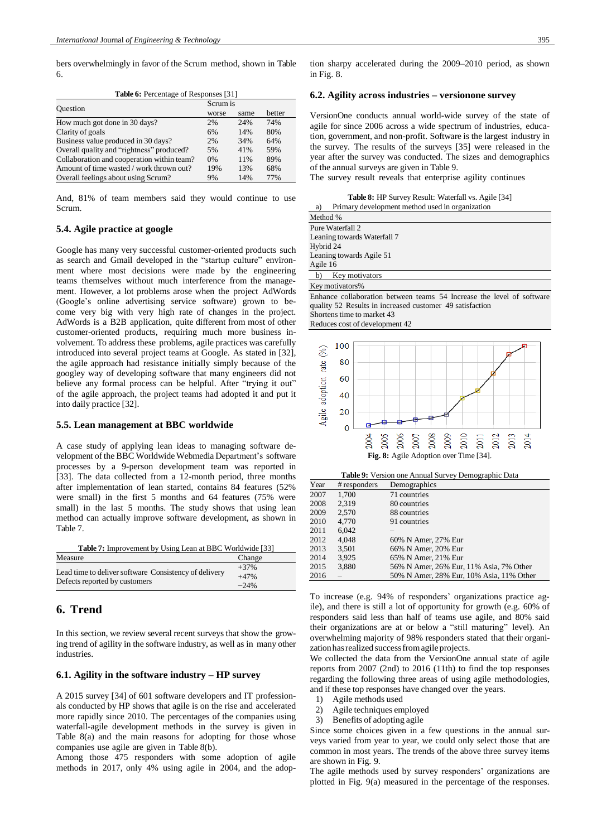<span id="page-5-0"></span>bers overwhelmingly in favor of the Scrum method, shown in Table [6.](#page-5-0)

|--|

| Ouestion                                   | Scrum is |      |        |
|--------------------------------------------|----------|------|--------|
|                                            | worse    | same | better |
| How much got done in 30 days?              | 2%       | 24%  | 74%    |
| Clarity of goals                           | 6%       | 14%  | 80%    |
| Business value produced in 30 days?        | 2%       | 34%  | 64%    |
| Overall quality and "rightness" produced?  | 5%       | 41%  | 59%    |
| Collaboration and cooperation within team? | 0%       | 11%  | 89%    |
| Amount of time wasted / work thrown out?   | 19%      | 13%  | 68%    |
| Overall feelings about using Scrum?        | 9%       | 14%  | 77%    |

And, 81% of team members said they would continue to use Scrum.

## **5.4. Agile practice at google**

Google has many very successful customer-oriented products such as search and Gmail developed in the "startup culture" environment where most decisions were made by the engineering teams themselves without much interference from the management. However, a lot problems arose when the project AdWords (Google's online advertising service software) grown to become very big with very high rate of changes in the project. AdWords is a B2B application, quite different from most of other customer-oriented products, requiring much more business involvement. To address these problems, agile practices was carefully introduced into several project teams at Google. As stated in [\[32\]](#page-7-21), the agile approach had resistance initially simply because of the googley way of developing software that many engineers did not believe any formal process can be helpful. After "trying it out" of the agile approach, the project teams had adopted it and put it into daily practice [\[32\]](#page-7-21).

#### **5.5. Lean management at BBC worldwide**

A case study of applying lean ideas to managing software development of the BBC Worldwide Webmedia Department's software processes by a 9-person development team was reported in [\[33\]](#page-7-22). The data collected from a 12-month period, three months after implementation of lean started, contains 84 features (52% were small) in the first 5 months and 64 features (75% were small) in the last 5 months. The study shows that using lean method can actually improve software development, as shown in Tabl[e 7.](#page-5-1)

<span id="page-5-1"></span>

| <b>Table 7:</b> Improvement by Using Lean at BBC Worldwide [33] |        |  |  |
|-----------------------------------------------------------------|--------|--|--|
| Measure                                                         | Change |  |  |
| Lead time to deliver software Consistency of delivery           | $+37%$ |  |  |
|                                                                 | $+47%$ |  |  |
| Defects reported by customers                                   | $-24%$ |  |  |

# **6. Trend**

In this section, we review several recent surveys that show the growing trend of agility in the software industry, as well as in many other industries.

# **6.1. Agility in the software industry – HP survey**

A 2015 survey [\[34\]](#page-7-23) of 601 software developers and IT professionals conducted by HP shows that agile is on the rise and accelerated more rapidly since 2010. The percentages of the companies using waterfall-agile development methods in the survey is given in Table [8\(a\)](#page-5-2) and the main reasons for adopting for those whose companies use agile are given in Tabl[e 8\(b\).](#page-5-3)

Among those 475 responders with some adoption of agile methods in 2017, only 4% using agile in 2004, and the adoption sharpy accelerated during the 2009–2010 period, as shown in Fig. 8.

#### **6.2. Agility across industries – versionone survey**

VersionOne conducts annual world-wide survey of the state of agile for since 2006 across a wide spectrum of industries, education, government, and non-profit. Software is the largest industry in the survey. The results of the surveys [\[35\]](#page-7-24) were released in the year after the survey was conducted. The sizes and demographics of the annual surveys are given in Tabl[e 9.](#page-5-4)

The survey result reveals that enterprise agility continues

**Table 8:** HP Survey Result: Waterfall vs. Agile [\[34\]](#page-7-23) a) Primary development method used in organization

<span id="page-5-2"></span>

| Method %                       |  |  |
|--------------------------------|--|--|
| Pure Waterfall 2               |  |  |
| Leaning towards Waterfall 7    |  |  |
| Hybrid 24                      |  |  |
| Leaning towards Agile 51       |  |  |
| Agile 16                       |  |  |
| Key motivators<br>$\mathbf{b}$ |  |  |
| Key motivators%                |  |  |

<span id="page-5-4"></span>Enhance collaboration between teams 54 Increase the level of software quality 52 Results in increased customer 49 satisfaction Shortens time to market 43

Reduces cost of development 42

<span id="page-5-3"></span>

|  |  | Table 9: Version one Annual Survey Demographic Data |
|--|--|-----------------------------------------------------|
|--|--|-----------------------------------------------------|

| Year | # responders | Demographics                             |
|------|--------------|------------------------------------------|
| 2007 | 1,700        | 71 countries                             |
| 2008 | 2.319        | 80 countries                             |
| 2009 | 2.570        | 88 countries                             |
| 2010 | 4.770        | 91 countries                             |
| 2011 | 6.042        |                                          |
| 2012 | 4.048        | 60% N Amer, 27% Eur                      |
| 2013 | 3,501        | 66% N Amer, 20% Eur                      |
| 2014 | 3.925        | 65% N Amer, 21% Eur                      |
| 2015 | 3,880        | 56% N Amer, 26% Eur, 11% Asia, 7% Other  |
| 2016 |              | 50% N Amer, 28% Eur, 10% Asia, 11% Other |

To increase (e.g. 94% of responders' organizations practice agile), and there is still a lot of opportunity for growth (e.g. 60% of responders said less than half of teams use agile, and 80% said their organizations are at or below a "still maturing" level). An overwhelming majority of 98% responders stated that their organization has realized success from agile projects.

We collected the data from the VersionOne annual state of agile reports from 2007 (2nd) to 2016 (11th) to find the top responses regarding the following three areas of using agile methodologies, and if these top responses have changed over the years.

- 1) Agile methods used
- 2) Agile techniques employed
- 3) Benefits of adopting agile

Since some choices given in a few questions in the annual surveys varied from year to year, we could only select those that are common in most years. The trends of the above three survey items are shown in Fig. 9.

The agile methods used by survey responders' organizations are plotted in Fig. 9(a) measured in the percentage of the responses.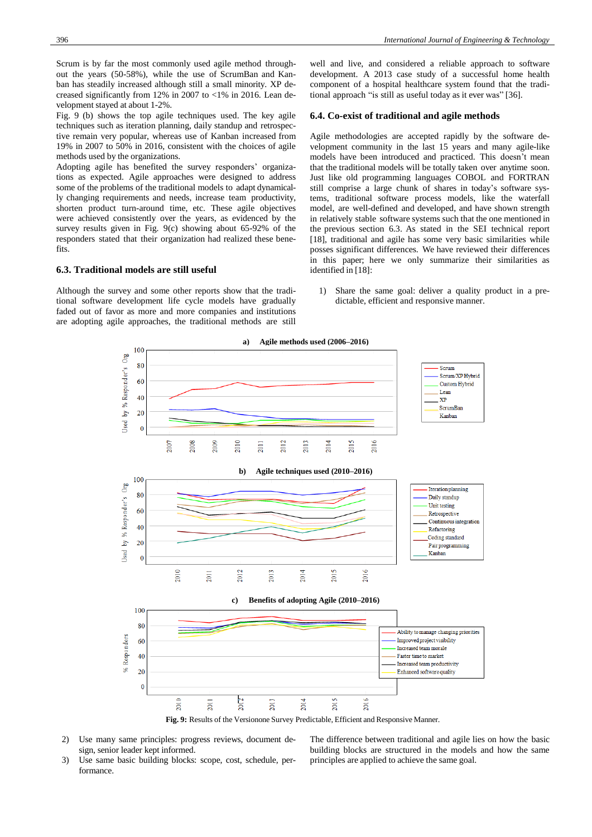Scrum is by far the most commonly used agile method throughout the years (50-58%), while the use of ScrumBan and Kanban has steadily increased although still a small minority. XP decreased significantly from 12% in 2007 to <1% in 2016. Lean development stayed at about 1-2%.

Fig. 9 (b) shows the top agile techniques used. The key agile techniques such as iteration planning, daily standup and retrospective remain very popular, whereas use of Kanban increased from 19% in 2007 to 50% in 2016, consistent with the choices of agile methods used by the organizations.

Adopting agile has benefited the survey responders' organizations as expected. Agile approaches were designed to address some of the problems of the traditional models to adapt dynamically changing requirements and needs, increase team productivity, shorten product turn-around time, etc. These agile objectives were achieved consistently over the years, as evidenced by the survey results given in Fig. [9\(c\)](#page-6-0) showing about 65-92% of the responders stated that their organization had realized these benefits.

## <span id="page-6-1"></span>**6.3. Traditional models are still useful**

Although the survey and some other reports show that the traditional software development life cycle models have gradually faded out of favor as more and more companies and institutions are adopting agile approaches, the traditional methods are still well and live, and considered a reliable approach to software development. A 2013 case study of a successful home health component of a hospital healthcare system found that the traditional approach "is still as useful today as it ever was" [36].

#### **6.4. Co-exist of traditional and agile methods**

Agile methodologies are accepted rapidly by the software development community in the last 15 years and many agile-like models have been introduced and practiced. This doesn't mean that the traditional models will be totally taken over anytime soon. Just like old programming languages COBOL and FORTRAN still comprise a large chunk of shares in today's software systems, traditional software process models, like the waterfall model, are well-defined and developed, and have shown strength in relatively stable software systems such that the one mentioned in the previous section [6.3.](#page-6-1) As stated in the SEI technical report [18], traditional and agile has some very basic similarities while posses significant differences. We have reviewed their differences in this paper; here we only summarize their similarities as identified in [18]:

<span id="page-6-0"></span>1) Share the same goal: deliver a quality product in a predictable, efficient and responsive manner.



- 2) Use many same principles: progress reviews, document design, senior leader kept informed.
- 3) Use same basic building blocks: scope, cost, schedule, performance.

The difference between traditional and agile lies on how the basic building blocks are structured in the models and how the same principles are applied to achieve the same goal.